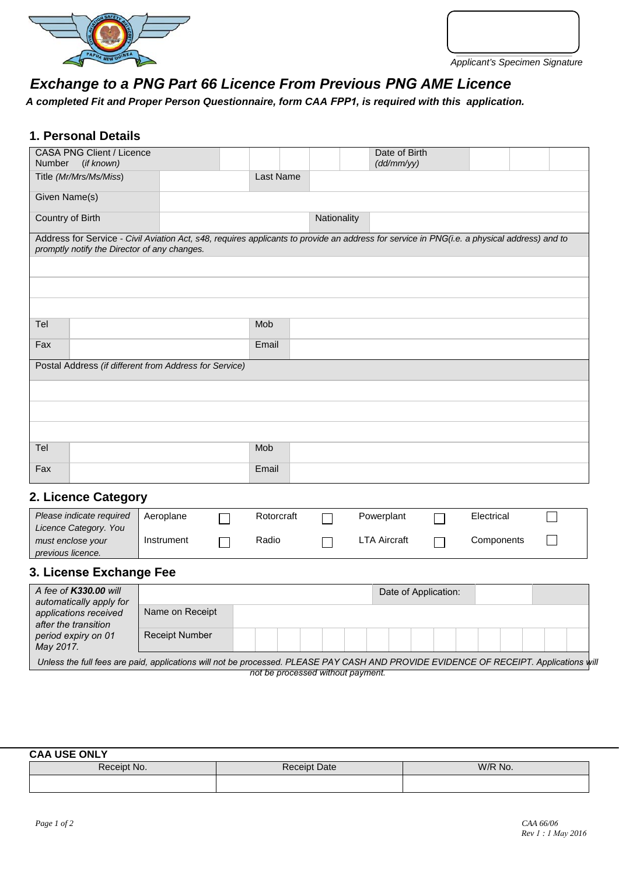



# *Exchange to a PNG Part 66 Licence From Previous PNG AME Licence*

*A completed Fit and Proper Person Questionnaire, form CAA FPP1, is required with this application.* 

### **1. Personal Details**

| <b>CASA PNG Client / Licence</b>                                                                                                                                                            |            |            |             | Date of Birth        |            |  |
|---------------------------------------------------------------------------------------------------------------------------------------------------------------------------------------------|------------|------------|-------------|----------------------|------------|--|
| Number<br>(if known)                                                                                                                                                                        |            |            |             | (dd/mm/yy)           |            |  |
| Title (Mr/Mrs/Ms/Miss)                                                                                                                                                                      |            | Last Name  |             |                      |            |  |
| Given Name(s)                                                                                                                                                                               |            |            |             |                      |            |  |
| Country of Birth                                                                                                                                                                            |            |            | Nationality |                      |            |  |
| Address for Service - Civil Aviation Act, s48, requires applicants to provide an address for service in PNG(i.e. a physical address) and to<br>promptly notify the Director of any changes. |            |            |             |                      |            |  |
|                                                                                                                                                                                             |            |            |             |                      |            |  |
|                                                                                                                                                                                             |            |            |             |                      |            |  |
|                                                                                                                                                                                             |            |            |             |                      |            |  |
| Tel                                                                                                                                                                                         |            | Mob        |             |                      |            |  |
| Fax                                                                                                                                                                                         |            | Email      |             |                      |            |  |
| Postal Address (if different from Address for Service)                                                                                                                                      |            |            |             |                      |            |  |
|                                                                                                                                                                                             |            |            |             |                      |            |  |
|                                                                                                                                                                                             |            |            |             |                      |            |  |
|                                                                                                                                                                                             |            |            |             |                      |            |  |
| Tel                                                                                                                                                                                         |            | Mob        |             |                      |            |  |
| Fax                                                                                                                                                                                         |            | Email      |             |                      |            |  |
| 2. Licence Category                                                                                                                                                                         |            |            |             |                      |            |  |
| Please indicate required                                                                                                                                                                    | Aeroplane  | Rotorcraft |             | Powerplant           | Electrical |  |
| Licence Category. You<br>must enclose your                                                                                                                                                  | Instrument | Radio      |             | <b>LTA Aircraft</b>  | Components |  |
| previous licence.                                                                                                                                                                           |            |            |             |                      |            |  |
| 3. License Exchange Fee                                                                                                                                                                     |            |            |             |                      |            |  |
| A fee of K330.00 will<br>automatically apply for                                                                                                                                            |            |            |             | Date of Application: |            |  |

| A fee of <b>K330.00</b> will<br>automatically apply for<br>applications received<br>after the transition<br>period expiry on 01<br>May 2017. |                       |  |  |  | Date of Application: |  |  |  |  |
|----------------------------------------------------------------------------------------------------------------------------------------------|-----------------------|--|--|--|----------------------|--|--|--|--|
|                                                                                                                                              | Name on Receipt       |  |  |  |                      |  |  |  |  |
|                                                                                                                                              | <b>Receipt Number</b> |  |  |  |                      |  |  |  |  |
| Unless the full fees are paid, applications will not be processed. PLEASE PAY CASH AND PROVIDE EVIDENCE OF RECEIPT. Applications will        |                       |  |  |  |                      |  |  |  |  |

*not be processed without payment.* 

#### **CAA USE ONLY**

| Receipt No. | Date<br>:eint- | W/R No. |
|-------------|----------------|---------|
|             |                |         |